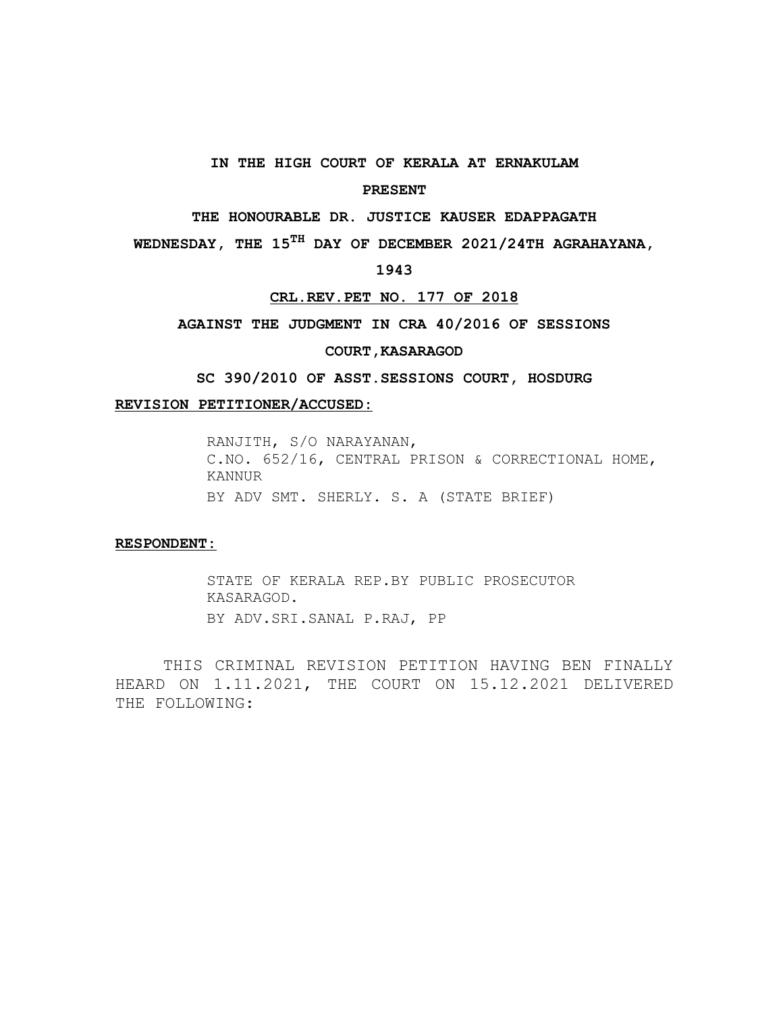## **IN THE HIGH COURT OF KERALA AT ERNAKULAM**

## **PRESENT**

**THE HONOURABLE DR. JUSTICE KAUSER EDAPPAGATH**

**WEDNESDAY, THE 15TH DAY OF DECEMBER 2021/24TH AGRAHAYANA,**

## **1943**

#### **CRL.REV.PET NO. 177 OF 2018**

**AGAINST THE JUDGMENT IN CRA 40/2016 OF SESSIONS**

### **COURT,KASARAGOD**

**SC 390/2010 OF ASST.SESSIONS COURT, HOSDURG**

#### **REVISION PETITIONER/ ACCUSED:**

RANJITH, S/O NARAYANAN, C.NO. 652/16, CENTRAL PRISON & CORRECTIONAL HOME, KANNUR BY ADV SMT. SHERLY. S. A (STATE BRIEF)

#### **RESPONDENT:**

STATE OF KERALA REP.BY PUBLIC PROSECUTOR KASARAGOD. BY ADV.SRI.SANAL P.RAJ, PP

THIS CRIMINAL REVISION PETITION HAVING BEN FINALLY HEARD ON 1.11.2021, THE COURT ON 15.12.2021 DELIVERED THE FOLLOWING: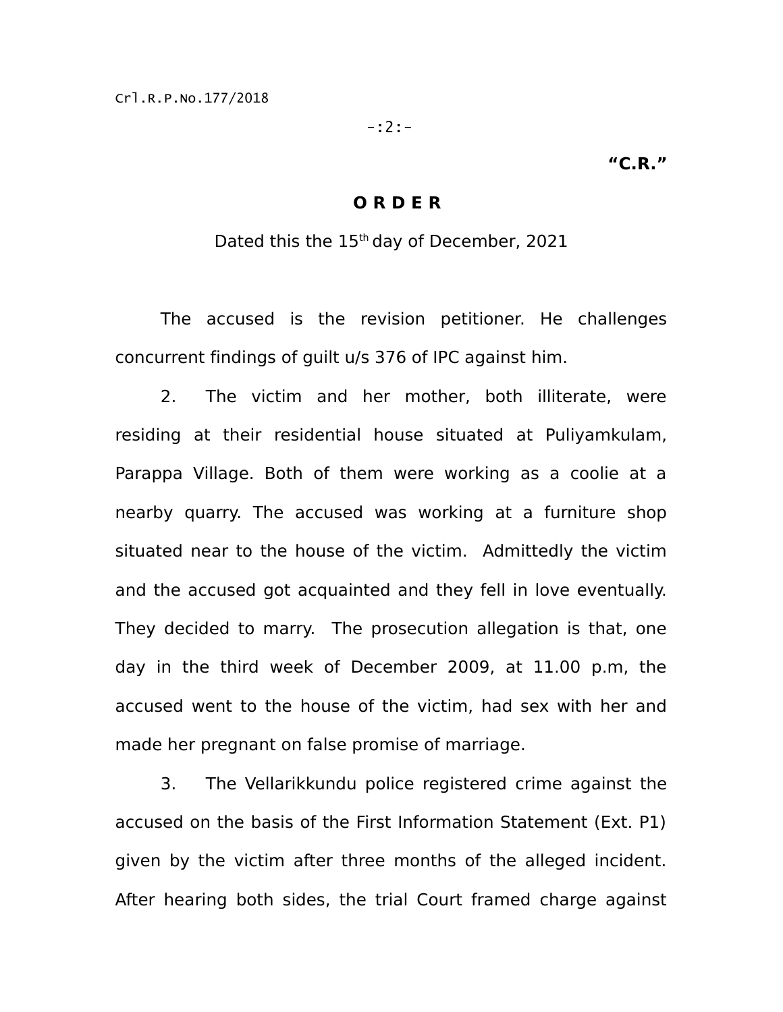-:2:-

# **"C.R."**

# **O R D E R**

Dated this the 15<sup>th</sup> day of December, 2021

The accused is the revision petitioner. He challenges concurrent findings of guilt u/s 376 of IPC against him.

2. The victim and her mother, both illiterate, were residing at their residential house situated at Puliyamkulam, Parappa Village. Both of them were working as a coolie at a nearby quarry. The accused was working at a furniture shop situated near to the house of the victim. Admittedly the victim and the accused got acquainted and they fell in love eventually. They decided to marry. The prosecution allegation is that, one day in the third week of December 2009, at 11.00 p.m, the accused went to the house of the victim, had sex with her and made her pregnant on false promise of marriage.

3. The Vellarikkundu police registered crime against the accused on the basis of the First Information Statement (Ext. P1) given by the victim after three months of the alleged incident. After hearing both sides, the trial Court framed charge against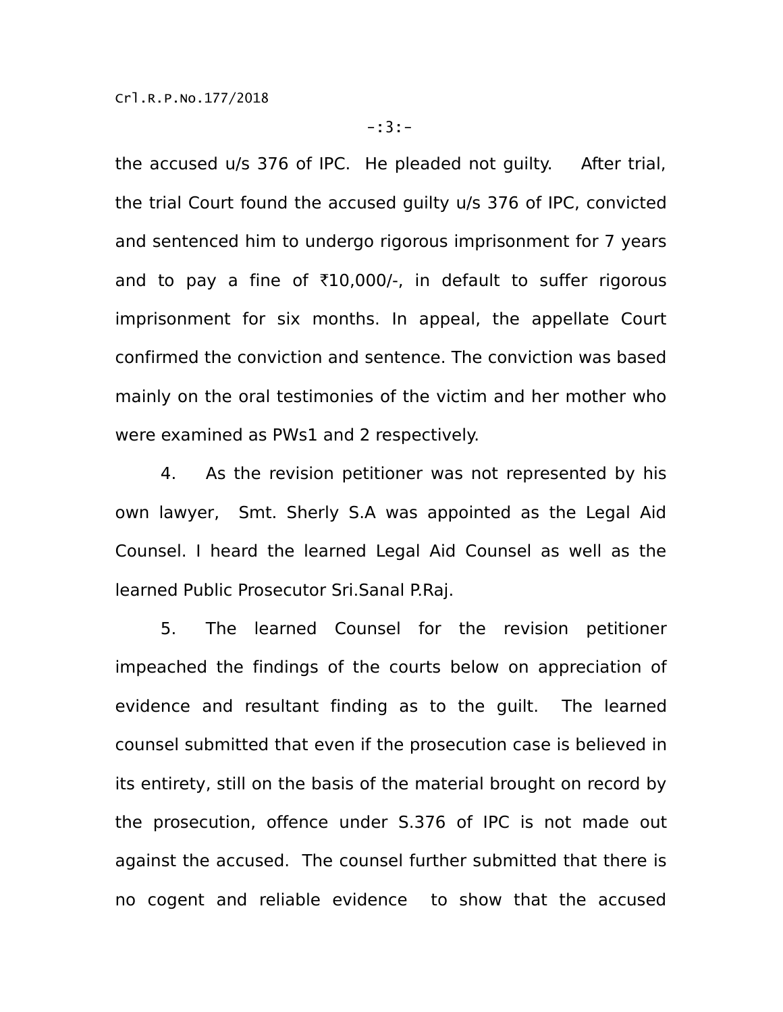the accused u/s 376 of IPC. He pleaded not guilty. After trial, the trial Court found the accused guilty u/s 376 of IPC, convicted and sentenced him to undergo rigorous imprisonment for 7 years and to pay a fine of  $\overline{10,000}$ -, in default to suffer rigorous imprisonment for six months. In appeal, the appellate Court confirmed the conviction and sentence. The conviction was based mainly on the oral testimonies of the victim and her mother who were examined as PWs1 and 2 respectively.

4. As the revision petitioner was not represented by his own lawyer, Smt. Sherly S.A was appointed as the Legal Aid Counsel. I heard the learned Legal Aid Counsel as well as the learned Public Prosecutor Sri.Sanal P.Raj.

5. The learned Counsel for the revision petitioner impeached the findings of the courts below on appreciation of evidence and resultant finding as to the guilt. The learned counsel submitted that even if the prosecution case is believed in its entirety, still on the basis of the material brought on record by the prosecution, offence under S.376 of IPC is not made out against the accused. The counsel further submitted that there is no cogent and reliable evidence to show that the accused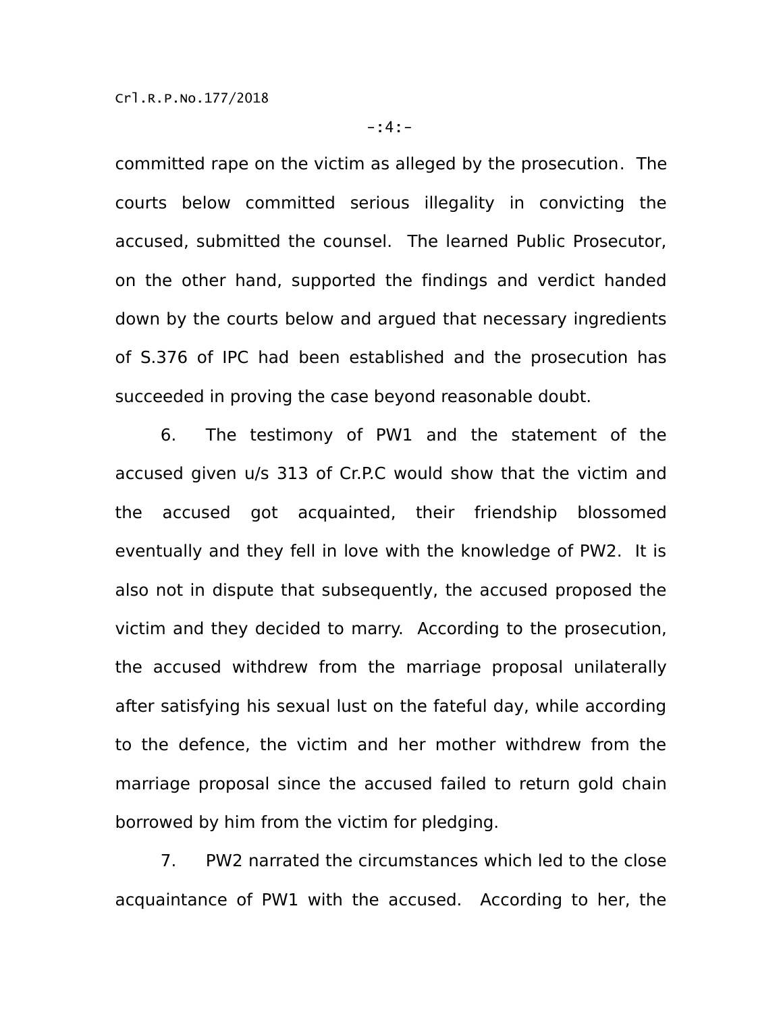committed rape on the victim as alleged by the prosecution. The courts below committed serious illegality in convicting the accused, submitted the counsel. The learned Public Prosecutor, on the other hand, supported the findings and verdict handed down by the courts below and argued that necessary ingredients of S.376 of IPC had been established and the prosecution has succeeded in proving the case beyond reasonable doubt.

6. The testimony of PW1 and the statement of the accused given u/s 313 of Cr.P.C would show that the victim and the accused got acquainted, their friendship blossomed eventually and they fell in love with the knowledge of PW2. It is also not in dispute that subsequently, the accused proposed the victim and they decided to marry. According to the prosecution, the accused withdrew from the marriage proposal unilaterally after satisfying his sexual lust on the fateful day, while according to the defence, the victim and her mother withdrew from the marriage proposal since the accused failed to return gold chain borrowed by him from the victim for pledging.

7. PW2 narrated the circumstances which led to the close acquaintance of PW1 with the accused. According to her, the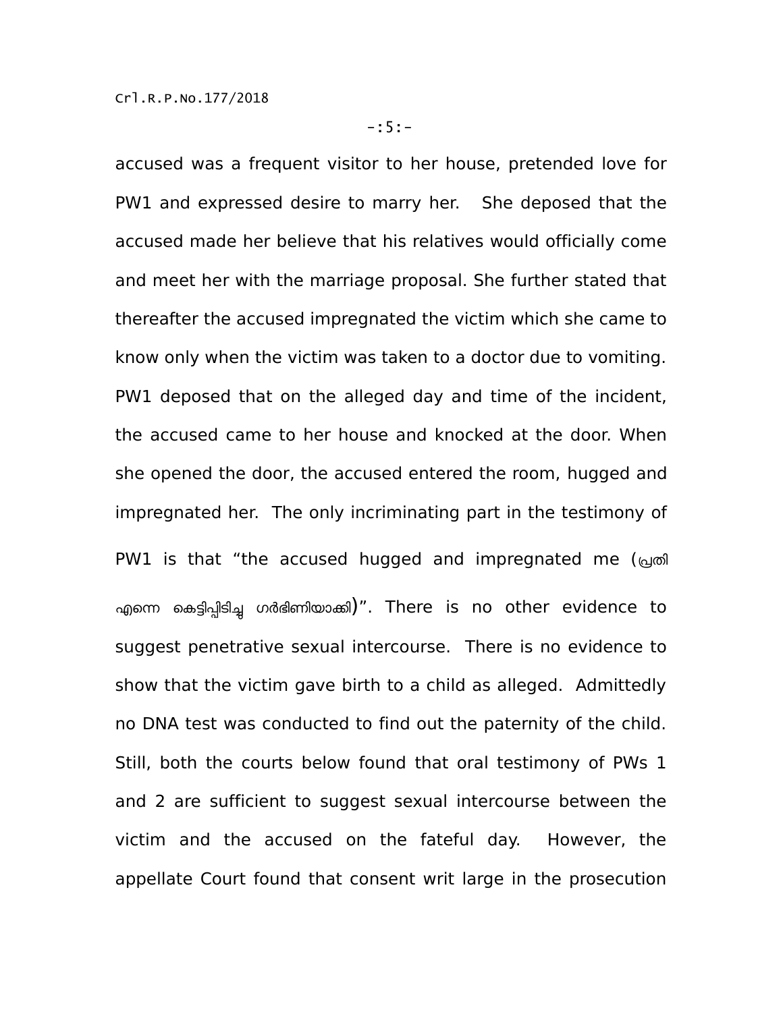accused was a frequent visitor to her house, pretended love for PW1 and expressed desire to marry her. She deposed that the accused made her believe that his relatives would officially come and meet her with the marriage proposal. She further stated that thereafter the accused impregnated the victim which she came to know only when the victim was taken to a doctor due to vomiting. PW1 deposed that on the alleged day and time of the incident, the accused came to her house and knocked at the door. When she opened the door, the accused entered the room, hugged and impregnated her. The only incriminating part in the testimony of PW1 is that "the accused hugged and impregnated me (പ്രതി എന്നെ കെട്ടിപിടിച്ച ഗർഭിണിയാക്കി)". There is no other evidence to suggest penetrative sexual intercourse. There is no evidence to show that the victim gave birth to a child as alleged. Admittedly no DNA test was conducted to find out the paternity of the child. Still, both the courts below found that oral testimony of PWs 1 and 2 are sufficient to suggest sexual intercourse between the victim and the accused on the fateful day. However, the appellate Court found that consent writ large in the prosecution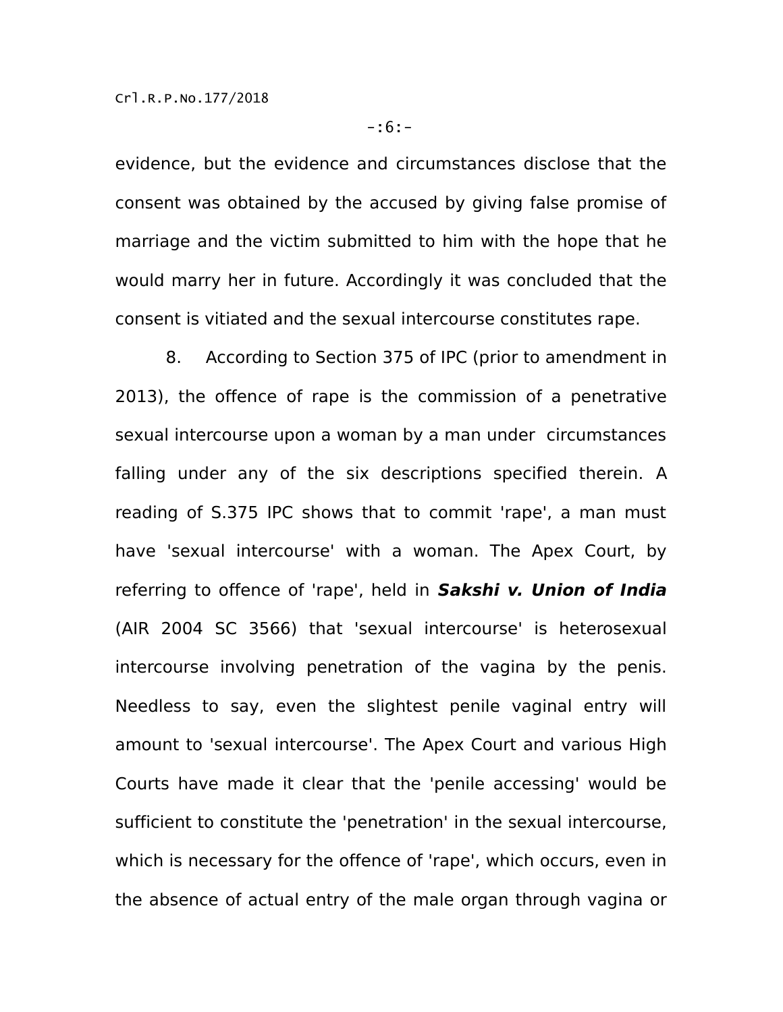evidence, but the evidence and circumstances disclose that the consent was obtained by the accused by giving false promise of marriage and the victim submitted to him with the hope that he would marry her in future. Accordingly it was concluded that the consent is vitiated and the sexual intercourse constitutes rape.

 8. According to Section 375 of IPC (prior to amendment in 2013), the offence of rape is the commission of a penetrative sexual intercourse upon a woman by a man under circumstances falling under any of the six descriptions specified therein. A reading of S.375 IPC shows that to commit 'rape', a man must have 'sexual intercourse' with a woman. The Apex Court, by referring to offence of 'rape', held in **Sakshi v. Union of India** (AIR 2004 SC 3566) that 'sexual intercourse' is heterosexual intercourse involving penetration of the vagina by the penis. Needless to say, even the slightest penile vaginal entry will amount to 'sexual intercourse'. The Apex Court and various High Courts have made it clear that the 'penile accessing' would be sufficient to constitute the 'penetration' in the sexual intercourse, which is necessary for the offence of 'rape', which occurs, even in the absence of actual entry of the male organ through vagina or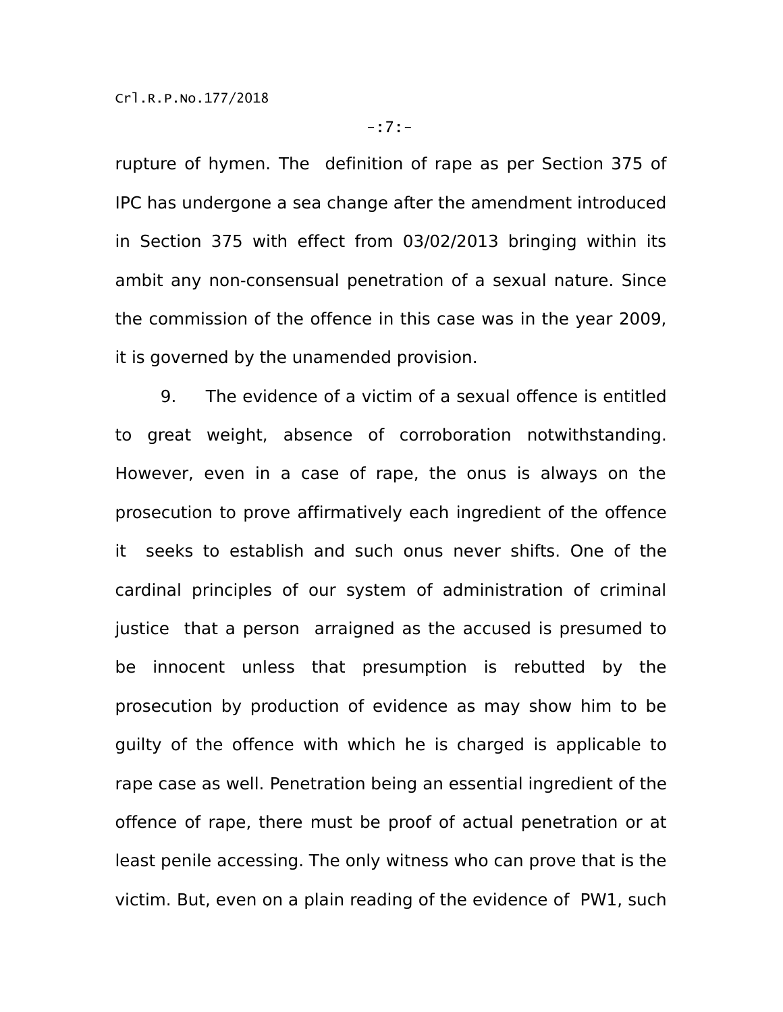rupture of hymen. The definition of rape as per Section 375 of IPC has undergone a sea change after the amendment introduced in Section 375 with effect from 03/02/2013 bringing within its ambit any non-consensual penetration of a sexual nature. Since the commission of the offence in this case was in the year 2009, it is governed by the unamended provision.

9. The evidence of a victim of a sexual offence is entitled to great weight, absence of corroboration notwithstanding. However, even in a case of rape, the onus is always on the prosecution to prove affirmatively each ingredient of the offence it seeks to establish and such onus never shifts. One of the cardinal principles of our system of administration of criminal justice that a person arraigned as the accused is presumed to be innocent unless that presumption is rebutted by the prosecution by production of evidence as may show him to be guilty of the offence with which he is charged is applicable to rape case as well. Penetration being an essential ingredient of the offence of rape, there must be proof of actual penetration or at least penile accessing. The only witness who can prove that is the victim. But, even on a plain reading of the evidence of PW1, such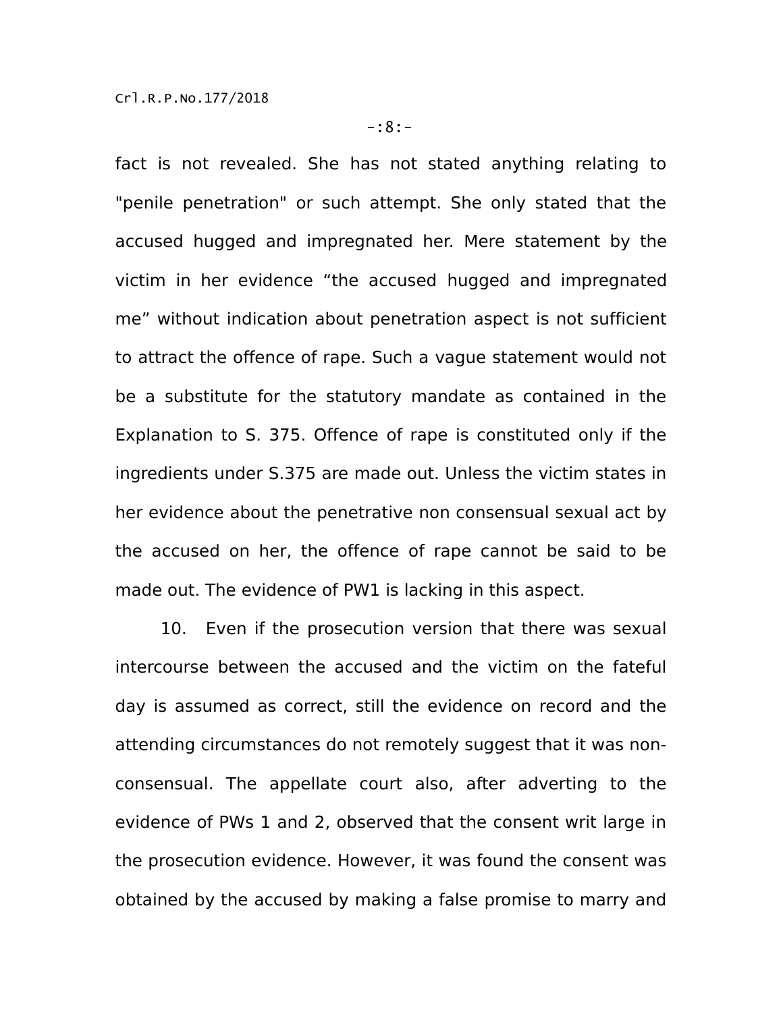fact is not revealed. She has not stated anything relating to "penile penetration" or such attempt. She only stated that the accused hugged and impregnated her. Mere statement by the victim in her evidence "the accused hugged and impregnated me" without indication about penetration aspect is not sufficient to attract the offence of rape. Such a vague statement would not be a substitute for the statutory mandate as contained in the Explanation to S. 375. Offence of rape is constituted only if the ingredients under S.375 are made out. Unless the victim states in her evidence about the penetrative non consensual sexual act by the accused on her, the offence of rape cannot be said to be made out. The evidence of PW1 is lacking in this aspect.

10. Even if the prosecution version that there was sexual intercourse between the accused and the victim on the fateful day is assumed as correct, still the evidence on record and the attending circumstances do not remotely suggest that it was nonconsensual. The appellate court also, after adverting to the evidence of PWs 1 and 2, observed that the consent writ large in the prosecution evidence. However, it was found the consent was obtained by the accused by making a false promise to marry and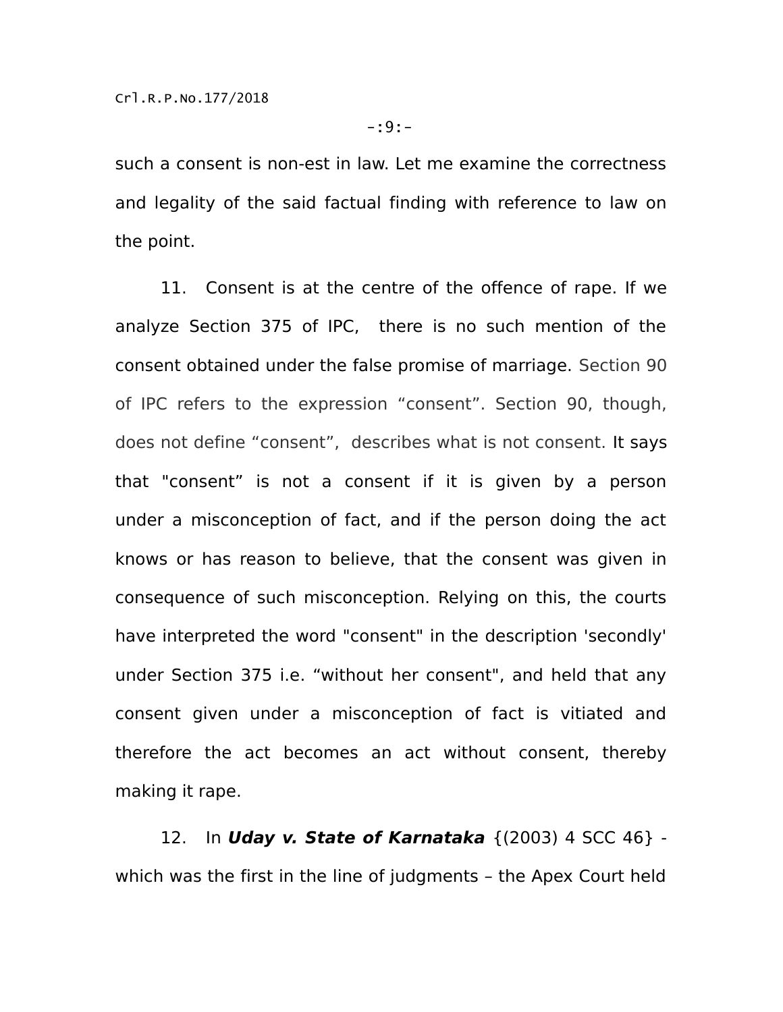such a consent is non-est in law. Let me examine the correctness and legality of the said factual finding with reference to law on the point.

11. Consent is at the centre of the offence of rape. If we analyze Section 375 of IPC, there is no such mention of the consent obtained under the false promise of marriage. Section 90 of IPC refers to the expression "consent". Section 90, though, does not define "consent", describes what is not consent. It says that "consent" is not a consent if it is given by a person under a misconception of fact, and if the person doing the act knows or has reason to believe, that the consent was given in consequence of such misconception. Relying on this, the courts have interpreted the word "consent" in the description 'secondly' under Section 375 i.e. "without her consent", and held that any consent given under a misconception of fact is vitiated and therefore the act becomes an act without consent, thereby making it rape.

12. In **Uday v. State of Karnataka** {(2003) 4 SCC 46} which was the first in the line of judgments – the Apex Court held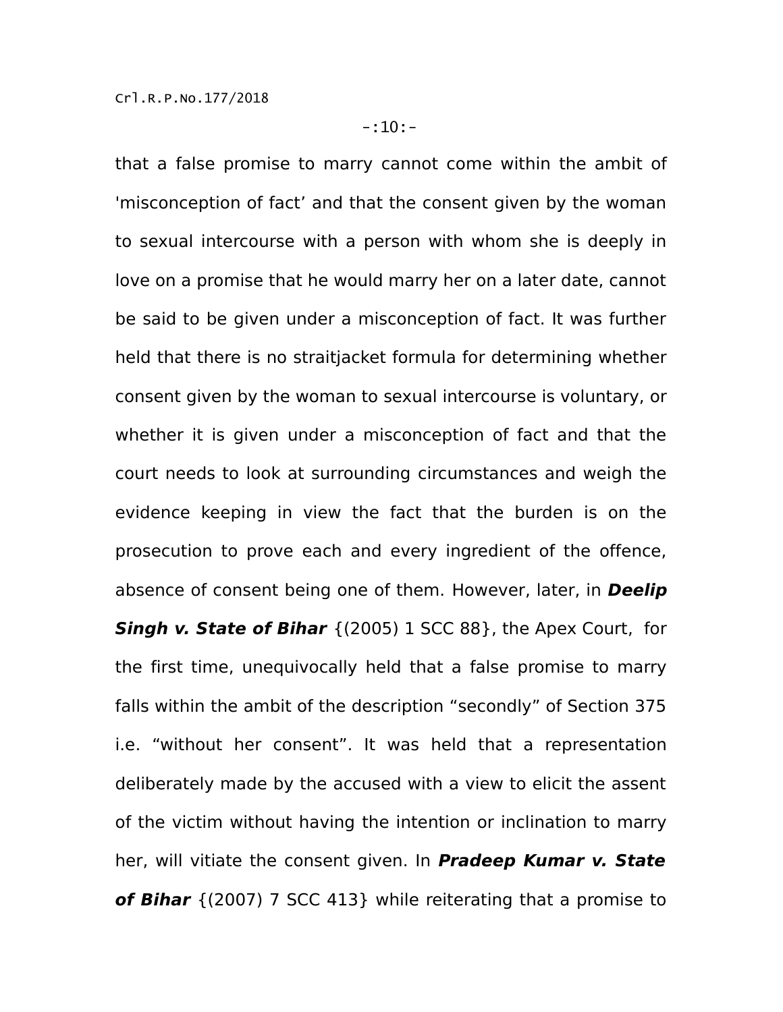that a false promise to marry cannot come within the ambit of 'misconception of fact' and that the consent given by the woman to sexual intercourse with a person with whom she is deeply in love on a promise that he would marry her on a later date, cannot be said to be given under a misconception of fact. It was further held that there is no straitjacket formula for determining whether consent given by the woman to sexual intercourse is voluntary, or whether it is given under a misconception of fact and that the court needs to look at surrounding circumstances and weigh the evidence keeping in view the fact that the burden is on the prosecution to prove each and every ingredient of the offence, absence of consent being one of them. However, later, in **Deelip Singh v. State of Bihar** {(2005) 1 SCC 88}, the Apex Court, for the first time, unequivocally held that a false promise to marry falls within the ambit of the description "secondly" of Section 375 i.e. "without her consent". It was held that a representation deliberately made by the accused with a view to elicit the assent of the victim without having the intention or inclination to marry her, will vitiate the consent given. In **Pradeep Kumar v. State of Bihar** {(2007) 7 SCC 413} while reiterating that a promise to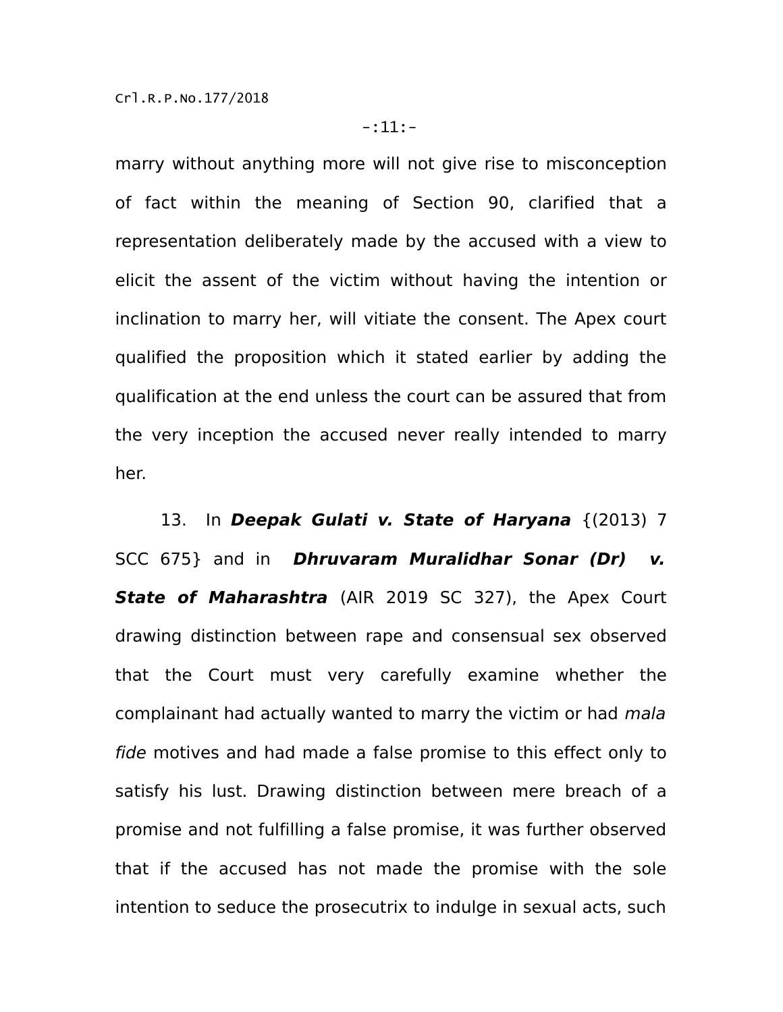marry without anything more will not give rise to misconception of fact within the meaning of Section 90, clarified that a representation deliberately made by the accused with a view to elicit the assent of the victim without having the intention or inclination to marry her, will vitiate the consent. The Apex court qualified the proposition which it stated earlier by adding the qualification at the end unless the court can be assured that from the very inception the accused never really intended to marry her.

13. In **Deepak Gulati v. State of Haryana** {(2013) 7 SCC 675} and in **Dhruvaram Muralidhar Sonar (Dr) v. State of Maharashtra** (AIR 2019 SC 327), the Apex Court drawing distinction between rape and consensual sex observed that the Court must very carefully examine whether the complainant had actually wanted to marry the victim or had mala fide motives and had made a false promise to this effect only to satisfy his lust. Drawing distinction between mere breach of a promise and not fulfilling a false promise, it was further observed that if the accused has not made the promise with the sole intention to seduce the prosecutrix to indulge in sexual acts, such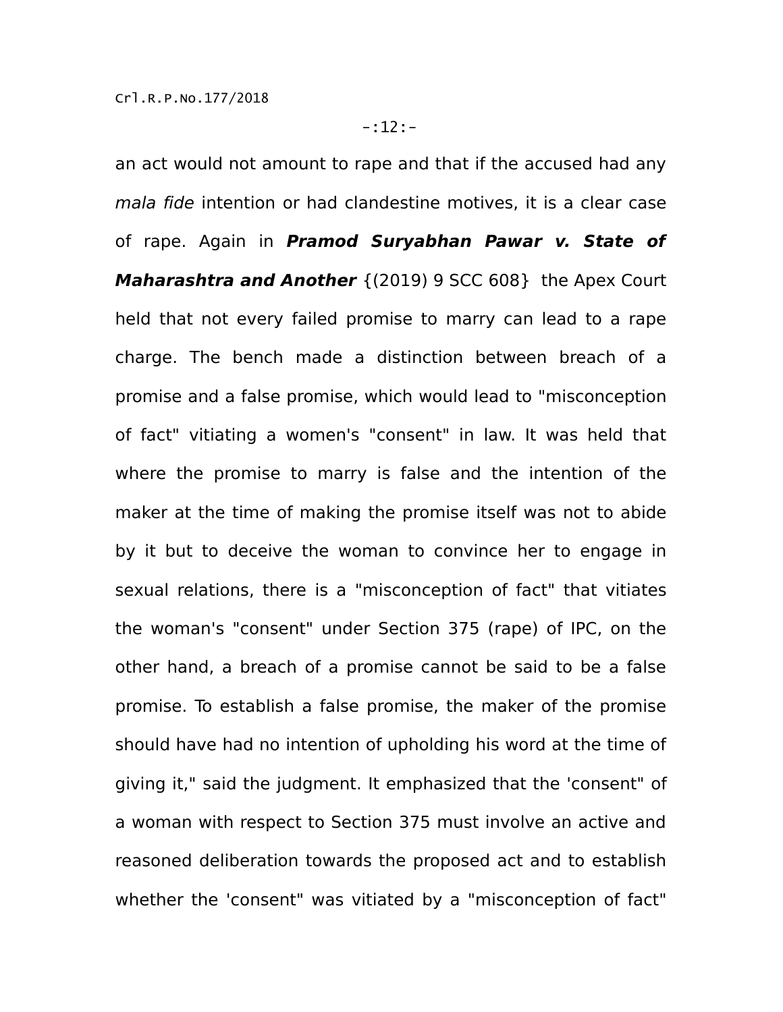an act would not amount to rape and that if the accused had any mala fide intention or had clandestine motives, it is a clear case of rape. Again in **Pramod Suryabhan Pawar v. State of Maharashtra and Another** {(2019) 9 SCC 608} the Apex Court held that not every failed promise to marry can lead to a rape charge. The bench made a distinction between breach of a promise and a false promise, which would lead to "misconception of fact" vitiating a women's "consent" in law. It was held that where the promise to marry is false and the intention of the maker at the time of making the promise itself was not to abide by it but to deceive the woman to convince her to engage in sexual relations, there is a "misconception of fact" that vitiates the woman's "consent" under Section 375 (rape) of IPC, on the other hand, a breach of a promise cannot be said to be a false promise. To establish a false promise, the maker of the promise should have had no intention of upholding his word at the time of giving it," said the judgment. It emphasized that the 'consent" of a woman with respect to Section 375 must involve an active and reasoned deliberation towards the proposed act and to establish whether the 'consent" was vitiated by a "misconception of fact"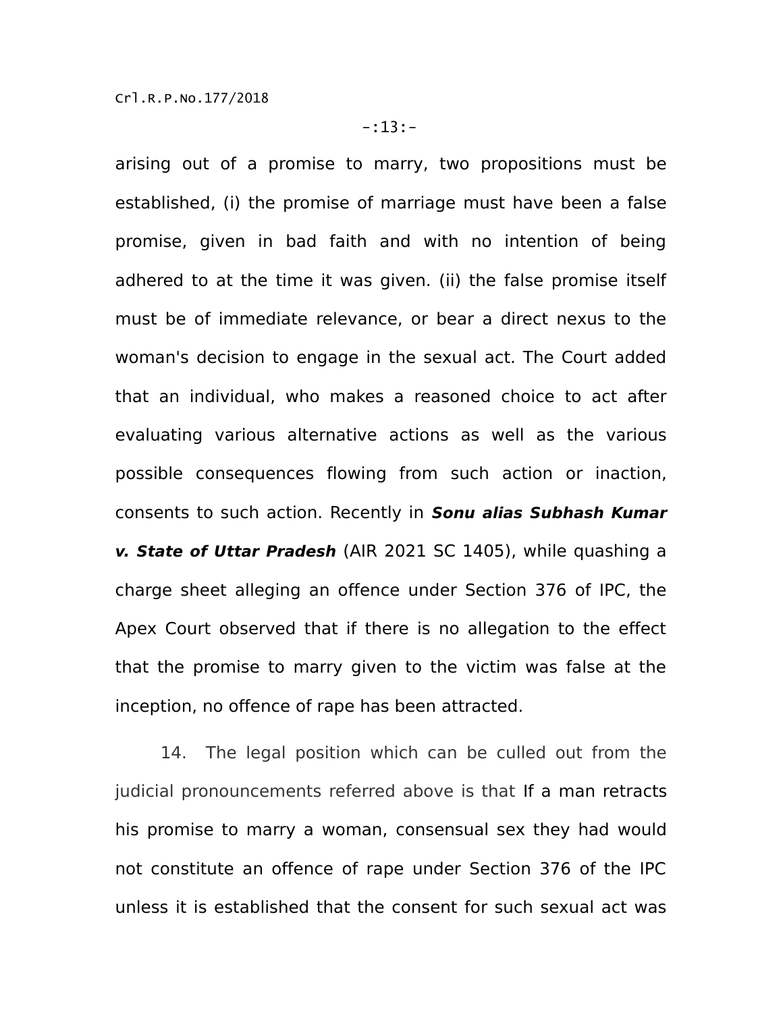arising out of a promise to marry, two propositions must be established, (i) the promise of marriage must have been a false promise, given in bad faith and with no intention of being adhered to at the time it was given. (ii) the false promise itself must be of immediate relevance, or bear a direct nexus to the woman's decision to engage in the sexual act. The Court added that an individual, who makes a reasoned choice to act after evaluating various alternative actions as well as the various possible consequences flowing from such action or inaction, consents to such action. Recently in **Sonu alias Subhash Kumar v. State of Uttar Pradesh** (AIR 2021 SC 1405), while quashing a charge sheet alleging an offence under Section 376 of IPC, the Apex Court observed that if there is no allegation to the effect that the promise to marry given to the victim was false at the inception, no offence of rape has been attracted.

14. The legal position which can be culled out from the judicial pronouncements referred above is that If a man retracts his promise to marry a woman, consensual sex they had would not constitute an offence of rape under Section 376 of the IPC unless it is established that the consent for such sexual act was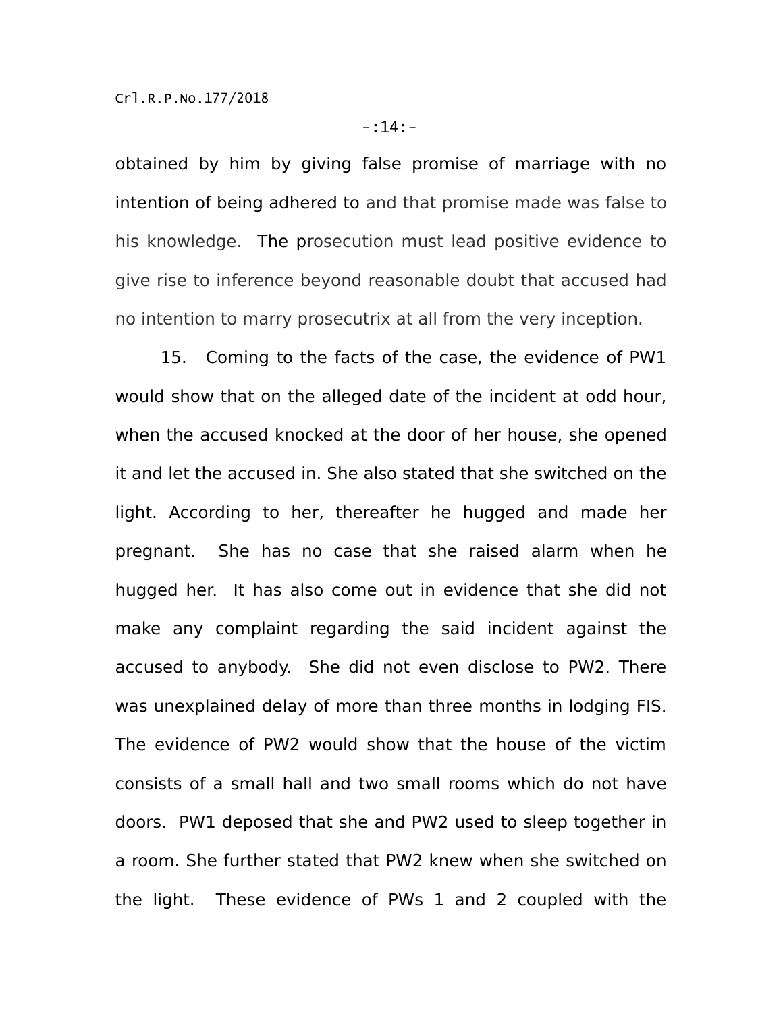obtained by him by giving false promise of marriage with no intention of being adhered to and that promise made was false to his knowledge. The prosecution must lead positive evidence to give rise to inference beyond reasonable doubt that accused had no intention to marry prosecutrix at all from the very inception.

15. Coming to the facts of the case, the evidence of PW1 would show that on the alleged date of the incident at odd hour, when the accused knocked at the door of her house, she opened it and let the accused in. She also stated that she switched on the light. According to her, thereafter he hugged and made her pregnant. She has no case that she raised alarm when he hugged her. It has also come out in evidence that she did not make any complaint regarding the said incident against the accused to anybody. She did not even disclose to PW2. There was unexplained delay of more than three months in lodging FIS. The evidence of PW2 would show that the house of the victim consists of a small hall and two small rooms which do not have doors. PW1 deposed that she and PW2 used to sleep together in a room. She further stated that PW2 knew when she switched on the light. These evidence of PWs 1 and 2 coupled with the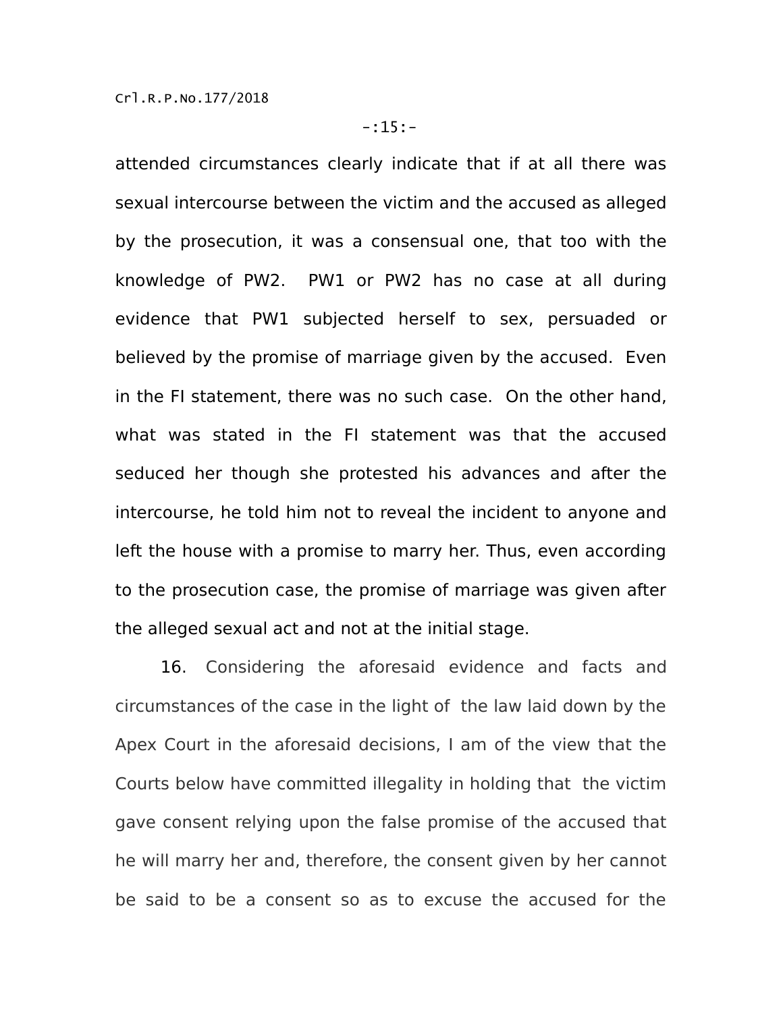attended circumstances clearly indicate that if at all there was sexual intercourse between the victim and the accused as alleged by the prosecution, it was a consensual one, that too with the knowledge of PW2. PW1 or PW2 has no case at all during evidence that PW1 subjected herself to sex, persuaded or believed by the promise of marriage given by the accused. Even in the FI statement, there was no such case. On the other hand, what was stated in the FI statement was that the accused seduced her though she protested his advances and after the intercourse, he told him not to reveal the incident to anyone and left the house with a promise to marry her. Thus, even according to the prosecution case, the promise of marriage was given after the alleged sexual act and not at the initial stage.

16. Considering the aforesaid evidence and facts and circumstances of the case in the light of the law laid down by the Apex Court in the aforesaid decisions, I am of the view that the Courts below have committed illegality in holding that the victim gave consent relying upon the false promise of the accused that he will marry her and, therefore, the consent given by her cannot be said to be a consent so as to excuse the accused for the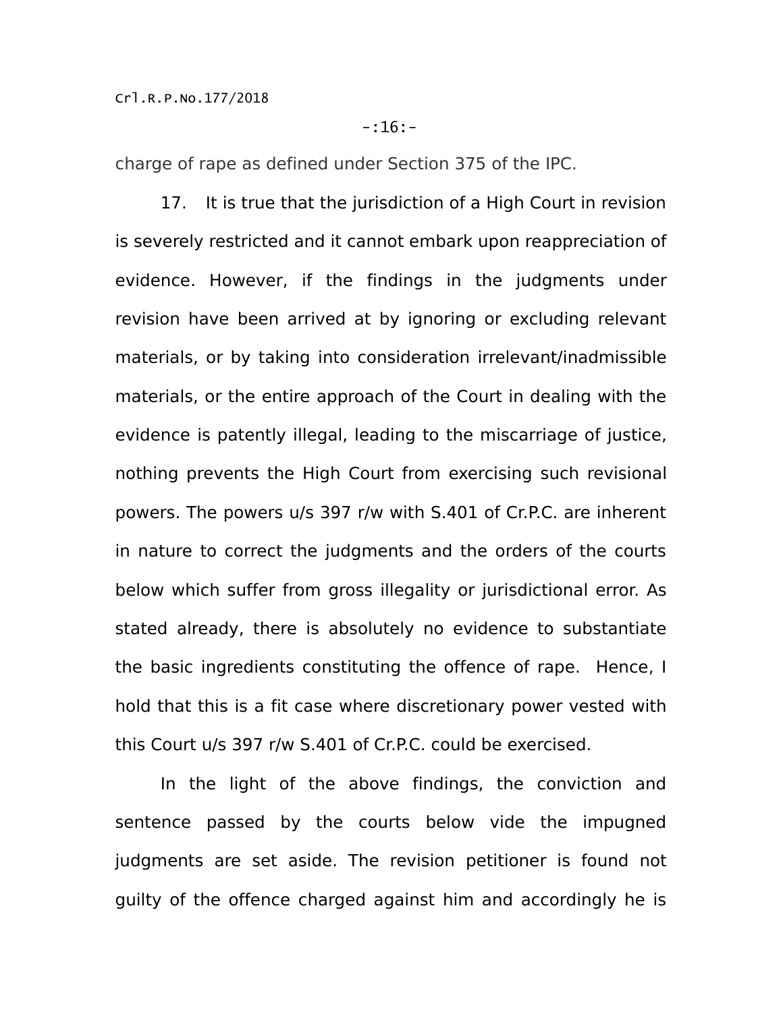# -:16:-

charge of rape as defined under Section 375 of the IPC.

17. It is true that the jurisdiction of a High Court in revision is severely restricted and it cannot embark upon reappreciation of evidence. However, if the findings in the judgments under revision have been arrived at by ignoring or excluding relevant materials, or by taking into consideration irrelevant/inadmissible materials, or the entire approach of the Court in dealing with the evidence is patently illegal, leading to the miscarriage of justice, nothing prevents the High Court from exercising such revisional powers. The powers u/s 397 r/w with S.401 of Cr.P.C. are inherent in nature to correct the judgments and the orders of the courts below which suffer from gross illegality or jurisdictional error. As stated already, there is absolutely no evidence to substantiate the basic ingredients constituting the offence of rape. Hence, I hold that this is a fit case where discretionary power vested with this Court u/s 397 r/w S.401 of Cr.P.C. could be exercised.

In the light of the above findings, the conviction and sentence passed by the courts below vide the impugned judgments are set aside. The revision petitioner is found not guilty of the offence charged against him and accordingly he is